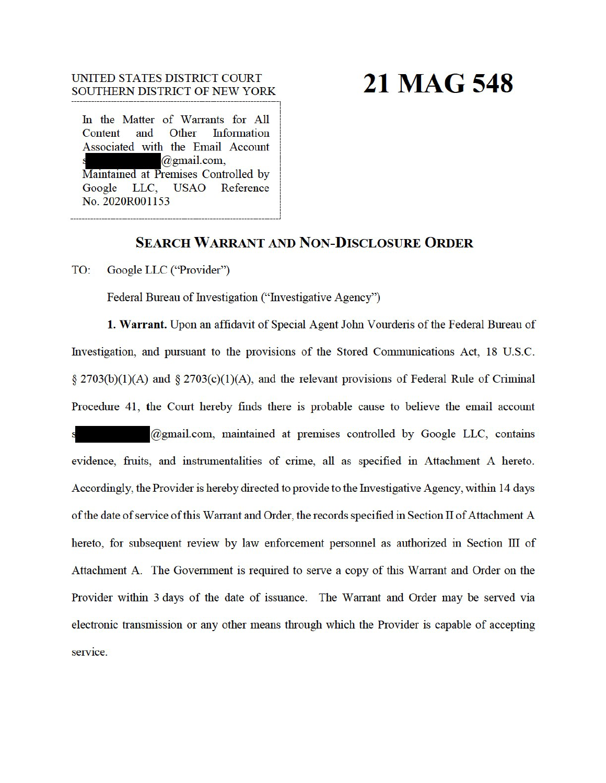## UNITED STATES DISTRICT COURT SOUTHERN DISTRICT OF NEW YORK

# 21 MAG 548

In the Matter of Warrants for All Content and Other **Information** Associated with the Email Account @gmail.com. Maintained at Premises Controlled by LLC, Reference **USAO** Google No. 2020R001153

# **SEARCH WARRANT AND NON-DISCLOSURE ORDER**

TO: Google LLC ("Provider")

Federal Bureau of Investigation ("Investigative Agency")

1. Warrant. Upon an affidavit of Special Agent John Vourderis of the Federal Bureau of Investigation, and pursuant to the provisions of the Stored Communications Act, 18 U.S.C.  $\S 2703(b)(1)(A)$  and  $\S 2703(c)(1)(A)$ , and the relevant provisions of Federal Rule of Criminal Procedure 41, the Court hereby finds there is probable cause to believe the email account

@gmail.com, maintained at premises controlled by Google LLC, contains evidence, fruits, and instrumentalities of crime, all as specified in Attachment A hereto. Accordingly, the Provider is hereby directed to provide to the Investigative Agency, within 14 days of the date of service of this Warrant and Order, the records specified in Section II of Attachment A hereto, for subsequent review by law enforcement personnel as authorized in Section III of Attachment A. The Government is required to serve a copy of this Warrant and Order on the Provider within 3 days of the date of issuance. The Warrant and Order may be served via electronic transmission or any other means through which the Provider is capable of accepting service.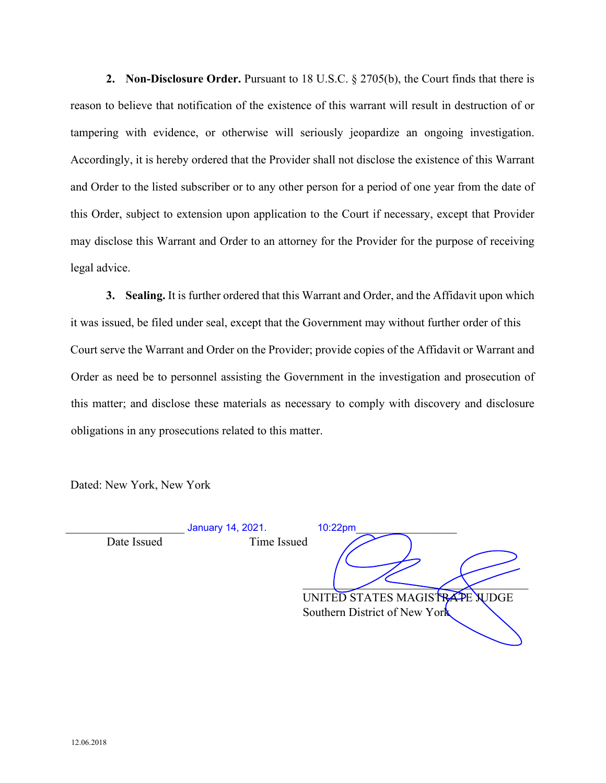**2. Non-Disclosure Order.** Pursuant to 18 U.S.C. § 2705(b), the Court finds that there is reason to believe that notification of the existence of this warrant will result in destruction of or tampering with evidence, or otherwise will seriously jeopardize an ongoing investigation. Accordingly, it is hereby ordered that the Provider shall not disclose the existence of this Warrant and Order to the listed subscriber or to any other person for a period of one year from the date of this Order, subject to extension upon application to the Court if necessary, except that Provider may disclose this Warrant and Order to an attorney for the Provider for the purpose of receiving legal advice.

**3. Sealing.** It is further ordered that this Warrant and Order, and the Affidavit upon which it was issued, be filed under seal, except that the Government may without further order of this Court serve the Warrant and Order on the Provider; provide copies of the Affidavit or Warrant and Order as need be to personnel assisting the Government in the investigation and prosecution of this matter; and disclose these materials as necessary to comply with discovery and disclosure obligations in any prosecutions related to this matter.

Dated: New York, New York

\_\_\_\_\_\_\_\_\_\_\_\_\_\_\_\_\_\_\_\_ January 14, 2021. 10:22pm\_\_\_\_\_\_\_\_\_\_\_\_\_\_\_\_\_ Date Issued Time Issued

 $\overline{\phantom{a}}$ UNITED STATES MAGISTRAPE WDGE Southern District of New York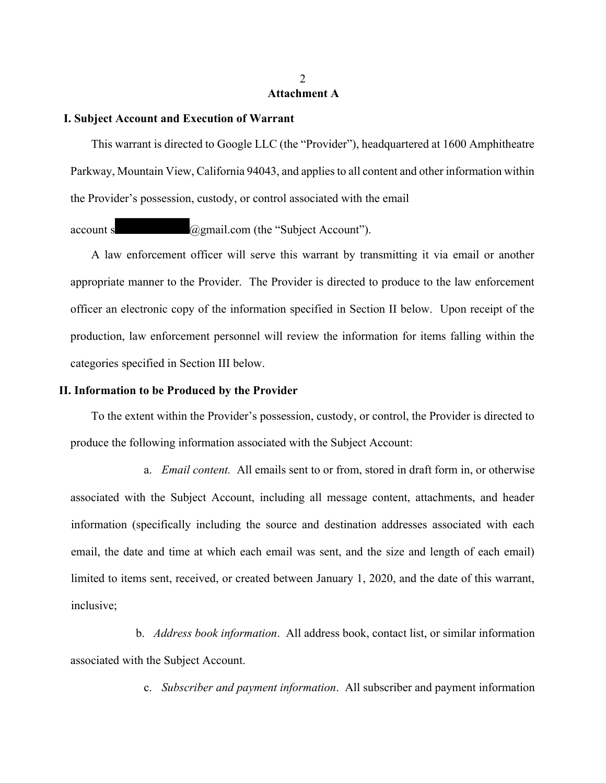# **Attachment A**

#### **I. Subject Account and Execution of Warrant**

This warrant is directed to Google LLC (the "Provider"), headquartered at 1600 Amphitheatre Parkway, Mountain View, California 94043, and applies to all content and other information within the Provider's possession, custody, or control associated with the email

account s  $\omega$ gmail.com (the "Subject Account").

A law enforcement officer will serve this warrant by transmitting it via email or another appropriate manner to the Provider. The Provider is directed to produce to the law enforcement officer an electronic copy of the information specified in Section II below. Upon receipt of the production, law enforcement personnel will review the information for items falling within the categories specified in Section III below.

### **II. Information to be Produced by the Provider**

To the extent within the Provider's possession, custody, or control, the Provider is directed to produce the following information associated with the Subject Account:

a. *Email content.* All emails sent to or from, stored in draft form in, or otherwise associated with the Subject Account, including all message content, attachments, and header information (specifically including the source and destination addresses associated with each email, the date and time at which each email was sent, and the size and length of each email) limited to items sent, received, or created between January 1, 2020, and the date of this warrant, inclusive;

b. *Address book information*. All address book, contact list, or similar information associated with the Subject Account.

c. *Subscriber and payment information*. All subscriber and payment information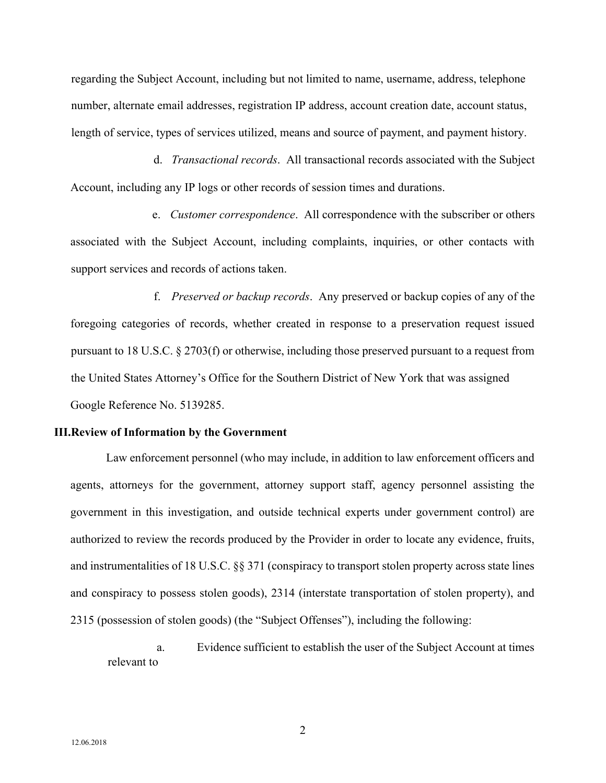regarding the Subject Account, including but not limited to name, username, address, telephone number, alternate email addresses, registration IP address, account creation date, account status, length of service, types of services utilized, means and source of payment, and payment history.

d. *Transactional records*. All transactional records associated with the Subject Account, including any IP logs or other records of session times and durations.

e. *Customer correspondence*. All correspondence with the subscriber or others associated with the Subject Account, including complaints, inquiries, or other contacts with support services and records of actions taken.

f. *Preserved or backup records*. Any preserved or backup copies of any of the foregoing categories of records, whether created in response to a preservation request issued pursuant to 18 U.S.C. § 2703(f) or otherwise, including those preserved pursuant to a request from the United States Attorney's Office for the Southern District of New York that was assigned Google Reference No. 5139285.

#### **III.Review of Information by the Government**

Law enforcement personnel (who may include, in addition to law enforcement officers and agents, attorneys for the government, attorney support staff, agency personnel assisting the government in this investigation, and outside technical experts under government control) are authorized to review the records produced by the Provider in order to locate any evidence, fruits, and instrumentalities of 18 U.S.C. §§ 371 (conspiracy to transport stolen property across state lines and conspiracy to possess stolen goods), 2314 (interstate transportation of stolen property), and 2315 (possession of stolen goods) (the "Subject Offenses"), including the following:

a. Evidence sufficient to establish the user of the Subject Account at times relevant to

2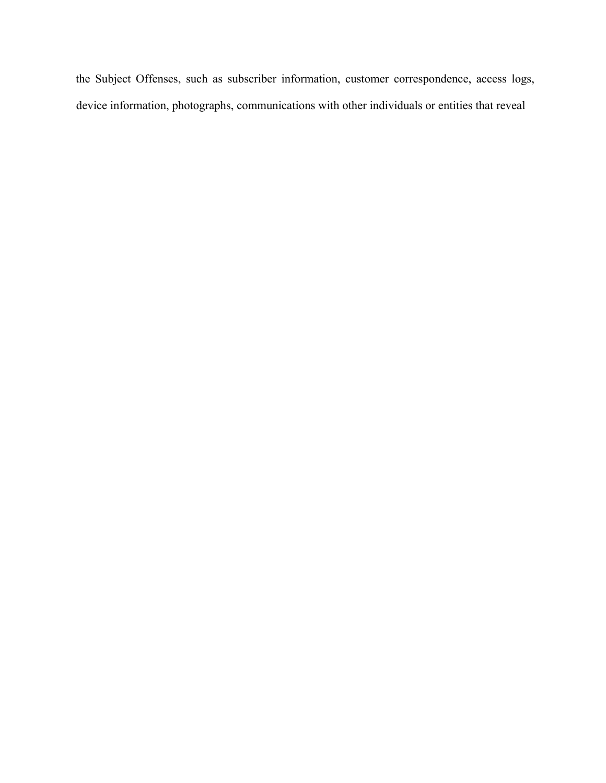the Subject Offenses, such as subscriber information, customer correspondence, access logs, device information, photographs, communications with other individuals or entities that reveal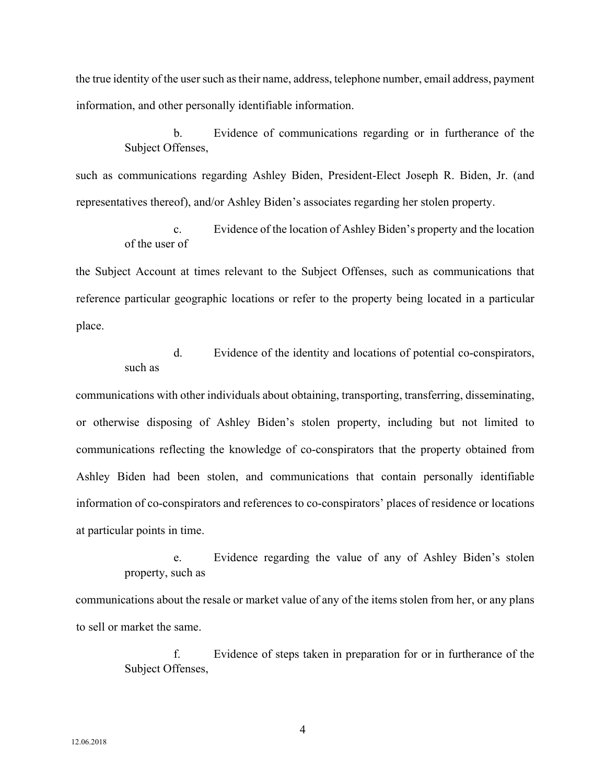the true identity of the user such as their name, address, telephone number, email address, payment information, and other personally identifiable information.

> b. Evidence of communications regarding or in furtherance of the Subject Offenses,

such as communications regarding Ashley Biden, President-Elect Joseph R. Biden, Jr. (and representatives thereof), and/or Ashley Biden's associates regarding her stolen property.

> c. Evidence of the location of Ashley Biden's property and the location of the user of

the Subject Account at times relevant to the Subject Offenses, such as communications that reference particular geographic locations or refer to the property being located in a particular place.

> d. Evidence of the identity and locations of potential co-conspirators, such as

communications with other individuals about obtaining, transporting, transferring, disseminating, or otherwise disposing of Ashley Biden's stolen property, including but not limited to communications reflecting the knowledge of co-conspirators that the property obtained from Ashley Biden had been stolen, and communications that contain personally identifiable information of co-conspirators and references to co-conspirators' places of residence or locations at particular points in time.

e. Evidence regarding the value of any of Ashley Biden's stolen property, such as

communications about the resale or market value of any of the items stolen from her, or any plans to sell or market the same.

> f. Evidence of steps taken in preparation for or in furtherance of the Subject Offenses,

4